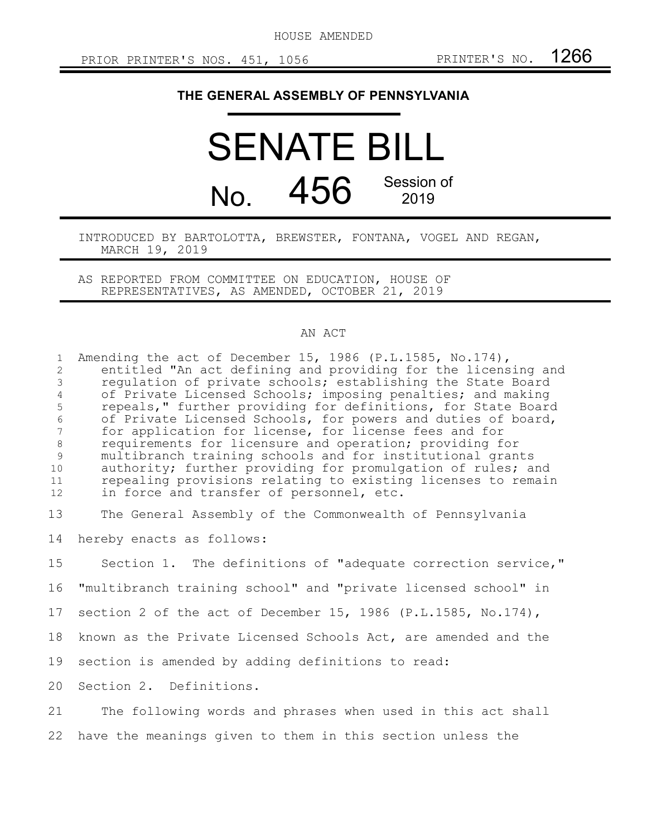HOUSE AMENDED

## **THE GENERAL ASSEMBLY OF PENNSYLVANIA**

## SENATE BILL No. 456 Session of 2019

## INTRODUCED BY BARTOLOTTA, BREWSTER, FONTANA, VOGEL AND REGAN, MARCH 19, 2019

AS REPORTED FROM COMMITTEE ON EDUCATION, HOUSE OF REPRESENTATIVES, AS AMENDED, OCTOBER 21, 2019

## AN ACT

Amending the act of December 15, 1986 (P.L.1585, No.174), entitled "An act defining and providing for the licensing and regulation of private schools; establishing the State Board of Private Licensed Schools; imposing penalties; and making repeals," further providing for definitions, for State Board of Private Licensed Schools, for powers and duties of board, for application for license, for license fees and for requirements for licensure and operation; providing for multibranch training schools and for institutional grants authority; further providing for promulgation of rules; and repealing provisions relating to existing licenses to remain in force and transfer of personnel, etc. The General Assembly of the Commonwealth of Pennsylvania hereby enacts as follows: Section 1. The definitions of "adequate correction service," "multibranch training school" and "private licensed school" in section 2 of the act of December 15, 1986 (P.L.1585, No.174), known as the Private Licensed Schools Act, are amended and the section is amended by adding definitions to read: Section 2. Definitions. The following words and phrases when used in this act shall 1 2 3 4 5 6 7 8 9 10 11 12 13 14 15 16 17 18 19 20 21

have the meanings given to them in this section unless the 22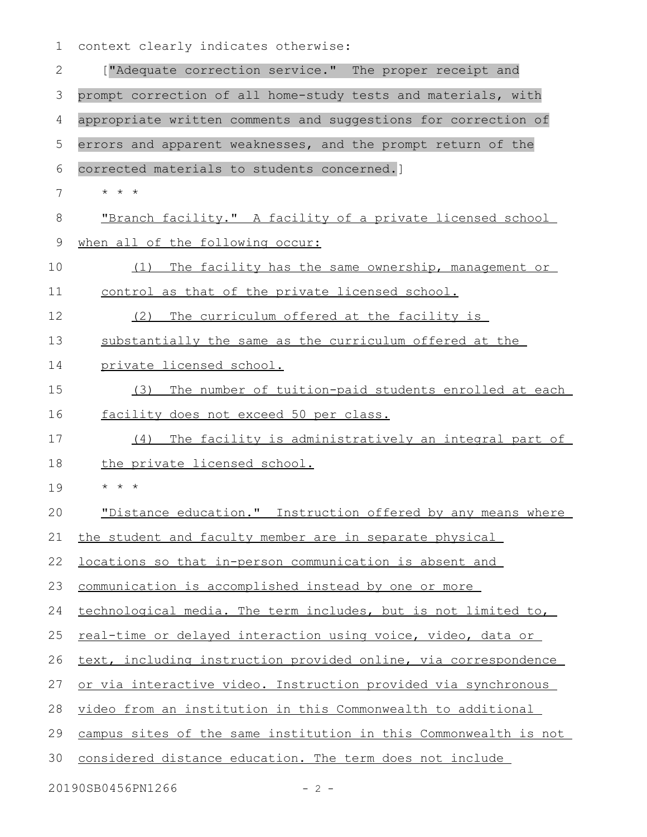context clearly indicates otherwise: 1

| $\mathbf{2}$   | ["Adequate correction service." The proper receipt and               |
|----------------|----------------------------------------------------------------------|
| 3              | prompt correction of all home-study tests and materials, with        |
| $\overline{4}$ | appropriate written comments and suggestions for correction of       |
| 5              | errors and apparent weaknesses, and the prompt return of the         |
| 6              | corrected materials to students concerned.]                          |
| 7              | $\star$ $\star$ $\star$                                              |
| 8              | "Branch facility." A facility of a private licensed school           |
| 9              | when all of the following occur:                                     |
| 10             | The facility has the same ownership, management or<br>(1)            |
| 11             | control as that of the private licensed school.                      |
| 12             | The curriculum offered at the facility is<br>(2)                     |
| 13             | substantially the same as the curriculum offered at the              |
| 14             | private licensed school.                                             |
| 15             | The number of tuition-paid students enrolled at each<br>(3)          |
| 16             | facility does not exceed 50 per class.                               |
| 17             | The facility is administratively an integral part of<br>(4)          |
| 18             | the private licensed school.                                         |
| 19             | $\star$ $\star$ $\star$                                              |
| 20             | "Distance education." Instruction offered by any means where         |
|                | 21 the student and faculty member are in separate physical           |
| 22             | <u>locations so that in-person communication is absent and</u>       |
| 23             | communication is accomplished instead by one or more                 |
| 24             | technological media. The term includes, but is not limited to,       |
| 25             | <u>real-time or delayed interaction using voice, video, data or </u> |
| 26             | text, including instruction provided online, via correspondence      |
| 27             | or via interactive video. Instruction provided via synchronous       |
| 28             | video from an institution in this Commonwealth to additional         |
| 29             | campus sites of the same institution in this Commonwealth is not     |
| 30             | considered distance education. The term does not include             |
|                |                                                                      |

20190SB0456PN1266 - 2 -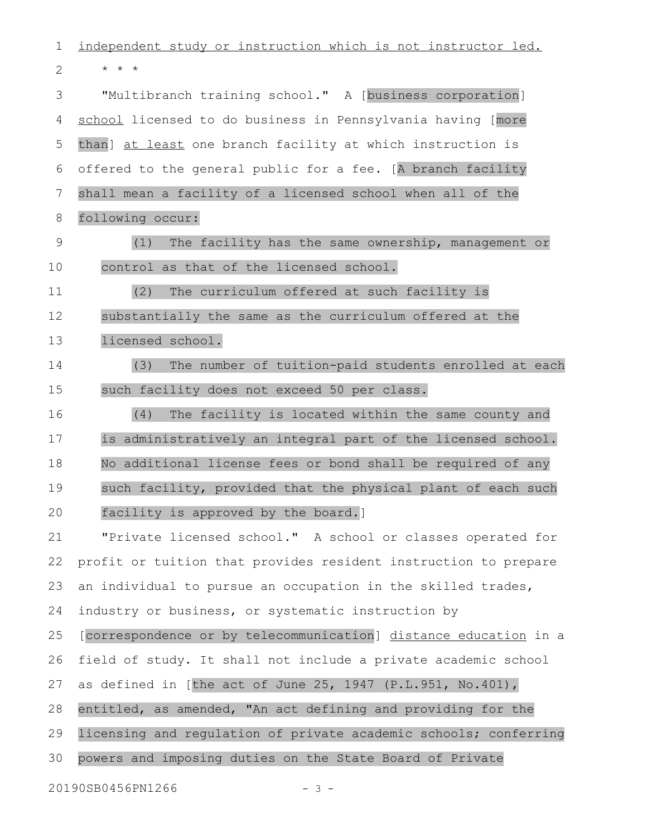independent study or instruction which is not instructor led. \* \* \* "Multibranch training school." A [business corporation] school licensed to do business in Pennsylvania having [more than] at least one branch facility at which instruction is offered to the general public for a fee. [A branch facility shall mean a facility of a licensed school when all of the following occur: (1) The facility has the same ownership, management or control as that of the licensed school. (2) The curriculum offered at such facility is substantially the same as the curriculum offered at the licensed school. (3) The number of tuition-paid students enrolled at each such facility does not exceed 50 per class. (4) The facility is located within the same county and is administratively an integral part of the licensed school. No additional license fees or bond shall be required of any such facility, provided that the physical plant of each such facility is approved by the board.] "Private licensed school." A school or classes operated for profit or tuition that provides resident instruction to prepare an individual to pursue an occupation in the skilled trades, industry or business, or systematic instruction by [correspondence or by telecommunication] distance education in a field of study. It shall not include a private academic school as defined in [the act of June 25, 1947 (P.L.951, No.401), entitled, as amended, "An act defining and providing for the licensing and regulation of private academic schools; conferring powers and imposing duties on the State Board of Private 20190SB0456PN1266 - 3 -1 2 3 4 5 6 7 8 9 10 11 12 13 14 15 16 17 18 19 20 21 22 23 24 25 26 27 28 29 30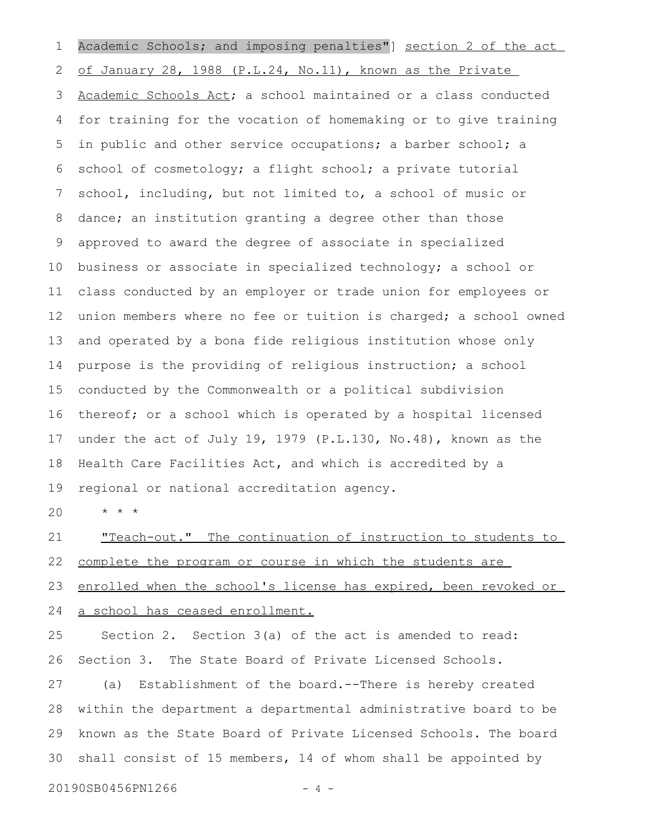Academic Schools; and imposing penalties"] section 2 of the act of January 28, 1988 (P.L.24, No.11), known as the Private Academic Schools Act; a school maintained or a class conducted for training for the vocation of homemaking or to give training in public and other service occupations; a barber school; a school of cosmetology; a flight school; a private tutorial school, including, but not limited to, a school of music or dance; an institution granting a degree other than those approved to award the degree of associate in specialized business or associate in specialized technology; a school or class conducted by an employer or trade union for employees or union members where no fee or tuition is charged; a school owned and operated by a bona fide religious institution whose only purpose is the providing of religious instruction; a school conducted by the Commonwealth or a political subdivision thereof; or a school which is operated by a hospital licensed under the act of July 19, 1979 (P.L.130, No.48), known as the Health Care Facilities Act, and which is accredited by a regional or national accreditation agency. 1 2 3 4 5 6 7 8 9 10 11 12 13 14 15 16 17 18 19

\* \* \* 20

"Teach-out." The continuation of instruction to students to complete the program or course in which the students are enrolled when the school's license has expired, been revoked or a school has ceased enrollment. 21 22 23 24

Section 2. Section 3(a) of the act is amended to read: Section 3. The State Board of Private Licensed Schools. 25 26

(a) Establishment of the board.--There is hereby created within the department a departmental administrative board to be known as the State Board of Private Licensed Schools. The board shall consist of 15 members, 14 of whom shall be appointed by 27 28 29 30

20190SB0456PN1266 - 4 -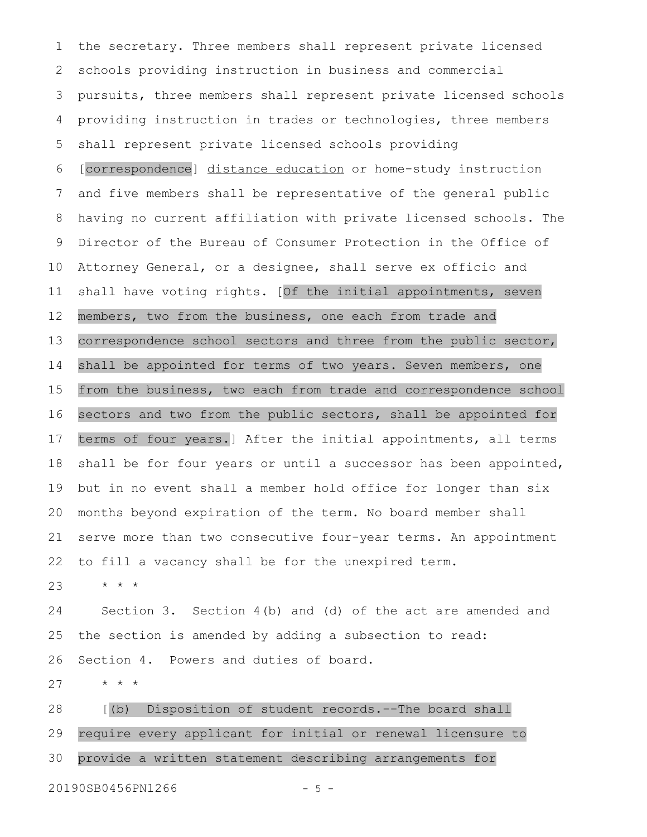the secretary. Three members shall represent private licensed schools providing instruction in business and commercial pursuits, three members shall represent private licensed schools providing instruction in trades or technologies, three members shall represent private licensed schools providing [correspondence] distance education or home-study instruction and five members shall be representative of the general public having no current affiliation with private licensed schools. The Director of the Bureau of Consumer Protection in the Office of Attorney General, or a designee, shall serve ex officio and shall have voting rights. [Of the initial appointments, seven members, two from the business, one each from trade and correspondence school sectors and three from the public sector, shall be appointed for terms of two years. Seven members, one from the business, two each from trade and correspondence school sectors and two from the public sectors, shall be appointed for terms of four years.] After the initial appointments, all terms shall be for four years or until a successor has been appointed, but in no event shall a member hold office for longer than six months beyond expiration of the term. No board member shall serve more than two consecutive four-year terms. An appointment to fill a vacancy shall be for the unexpired term. 1 2 3 4 5 6 7 8 9 10 11 12 13 14 15 16 17 18 19 20 21 22

\* \* \* 23

Section 3. Section 4(b) and (d) of the act are amended and the section is amended by adding a subsection to read: Section 4. Powers and duties of board. 24 25 26

\* \* \* 27

[(b) Disposition of student records.--The board shall require every applicant for initial or renewal licensure to provide a written statement describing arrangements for 28 29 30

20190SB0456PN1266 - 5 -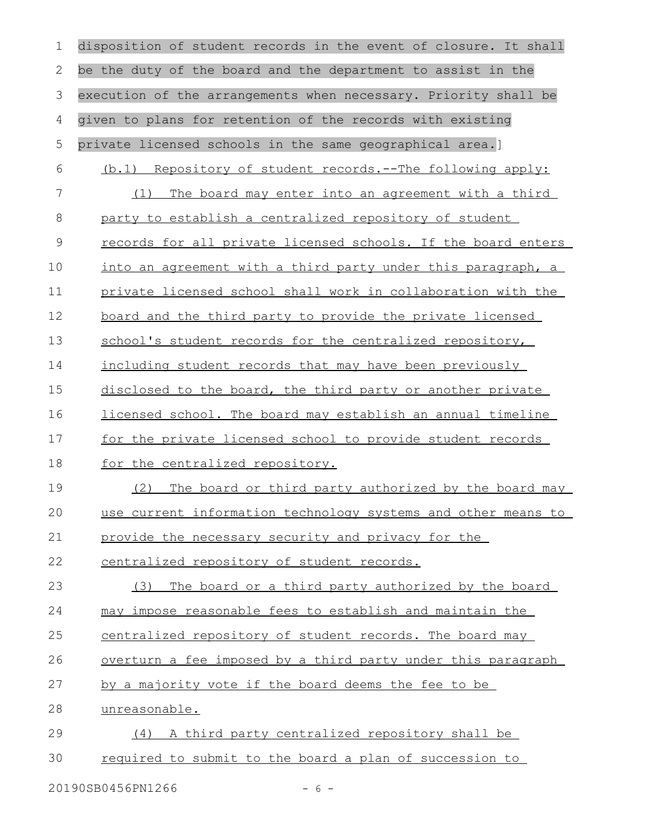| $\mathbf 1$   | disposition of student records in the event of closure. It shall    |
|---------------|---------------------------------------------------------------------|
| $\mathbf{2}$  | be the duty of the board and the department to assist in the        |
| 3             | execution of the arrangements when necessary. Priority shall be     |
| 4             | given to plans for retention of the records with existing           |
| 5             | private licensed schools in the same geographical area.]            |
| 6             | (b.1) Repository of student records.--The following apply:          |
| 7             | The board may enter into an agreement with a third<br>(1)           |
| $\,8\,$       | party to establish a centralized repository of student              |
| $\mathcal{G}$ | records for all private licensed schools. If the board enters       |
| 10            | into an agreement with a third party under this paragraph, a        |
| 11            | private licensed school shall work in collaboration with the        |
| 12            | <u>board and the third party to provide the private licensed</u>    |
| 13            | school's student records for the centralized repository,            |
| 14            | including student records that may have been previously             |
| 15            | disclosed to the board, the third party or another private          |
| 16            | <u>licensed school. The board may establish an annual timeline</u>  |
| 17            | for the private licensed school to provide student records          |
| 18            | for the centralized repository.                                     |
| 19            | The board or third party authorized by the board may<br>(2)         |
| 20            | use current information technology systems and other means to       |
| 21            | provide the necessary security and privacy for the                  |
| 22            | centralized repository of student records.                          |
| 23            | The board or a third party authorized by the board<br>(3)           |
| 24            | may impose reasonable fees to establish and maintain the            |
| 25            | centralized repository of student records. The board may            |
| 26            | <u>overturn a fee imposed by a third party under this paragraph</u> |
| 27            | by a majority vote if the board deems the fee to be                 |
| 28            | unreasonable.                                                       |
| 29            | A third party centralized repository shall be<br>(4)                |
| 30            | required to submit to the board a plan of succession to             |
|               | 20190SB0456PN1266<br>$-6-$                                          |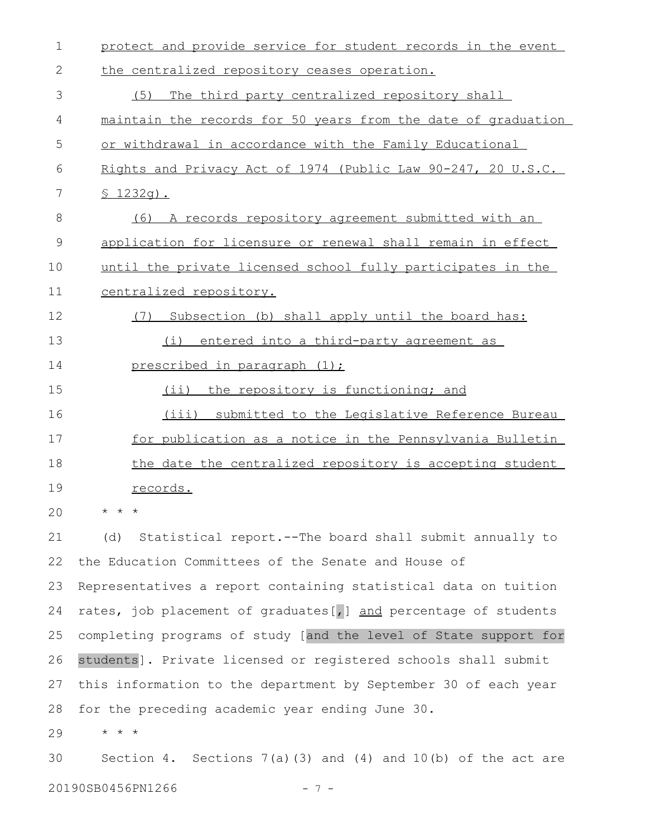| 1  | protect and provide service for student records in the event       |
|----|--------------------------------------------------------------------|
| 2  | the centralized repository ceases operation.                       |
| 3  | (5)<br>The third party centralized repository shall                |
| 4  | maintain the records for 50 years from the date of graduation      |
| 5  | or withdrawal in accordance with the Family Educational            |
| 6  | Rights and Privacy Act of 1974 (Public Law 90-247, 20 U.S.C.       |
| 7  | $$1232q$ .                                                         |
| 8  | A records repository agreement submitted with an<br>(6)            |
| 9  | application for licensure or renewal shall remain in effect        |
| 10 | until the private licensed school fully participates in the        |
| 11 | centralized repository.                                            |
| 12 | Subsection (b) shall apply until the board has:<br>(7)             |
| 13 | entered into a third-party agreement as<br>(i)                     |
| 14 | prescribed in paragraph (1);                                       |
| 15 | (ii) the repository is functioning; and                            |
| 16 | (iii)<br>submitted to the Legislative Reference Bureau             |
| 17 | for publication as a notice in the Pennsylvania Bulletin           |
| 18 | the date the centralized repository is accepting student           |
| 19 | records.                                                           |
| 20 | $\star$ $\star$ $\star$                                            |
| 21 | Statistical report. -- The board shall submit annually to<br>(d)   |
| 22 | the Education Committees of the Senate and House of                |
| 23 | Representatives a report containing statistical data on tuition    |
| 24 | rates, job placement of graduates [, ] and percentage of students  |
| 25 | completing programs of study [and the level of State support for   |
| 26 | students]. Private licensed or registered schools shall submit     |
| 27 | this information to the department by September 30 of each year    |
| 28 | for the preceding academic year ending June 30.                    |
| 29 | * * *                                                              |
| 30 | Section 4. Sections $7(a)(3)$ and $(4)$ and $10(b)$ of the act are |
|    | 20190SB0456PN1266<br>$7 -$                                         |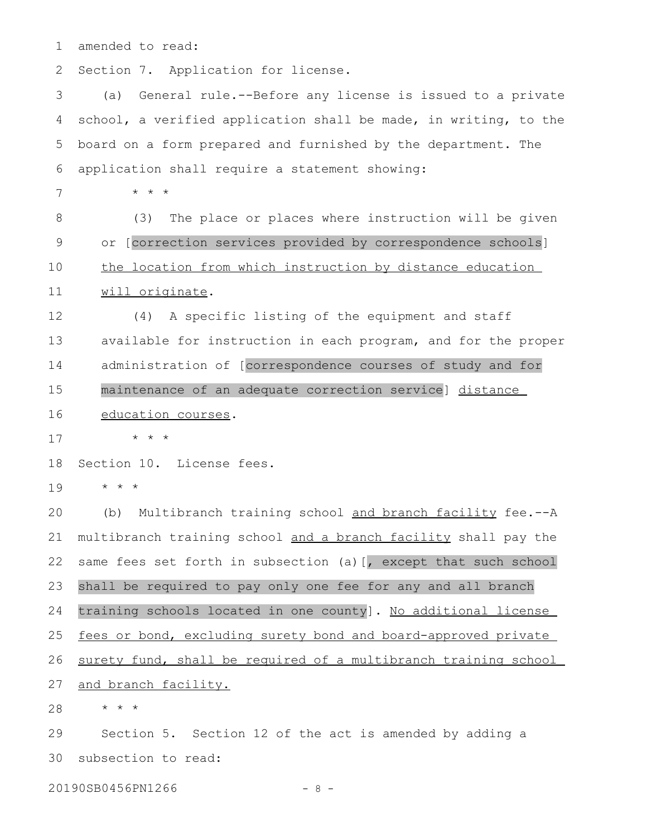amended to read: 1

Section 7. Application for license. 2

(a) General rule.--Before any license is issued to a private school, a verified application shall be made, in writing, to the board on a form prepared and furnished by the department. The application shall require a statement showing: \* \* \* (3) The place or places where instruction will be given 3 4 5 6 7 8

or [correction services provided by correspondence schools] the location from which instruction by distance education will originate. 9 10 11

(4) A specific listing of the equipment and staff available for instruction in each program, and for the proper administration of [correspondence courses of study and for maintenance of an adequate correction service] distance education courses. 12 13 14 15 16

\* \* \* 17

Section 10. License fees. 18

\* \* \* 19

(b) Multibranch training school and branch facility fee.--A multibranch training school and a branch facility shall pay the same fees set forth in subsection (a) [, except that such school shall be required to pay only one fee for any and all branch training schools located in one county]. No additional license fees or bond, excluding surety bond and board-approved private surety fund, shall be required of a multibranch training school and branch facility. 20 21 22 23 24 25 26 27

\* \* \* 28

Section 5. Section 12 of the act is amended by adding a subsection to read: 29 30

20190SB0456PN1266 - 8 -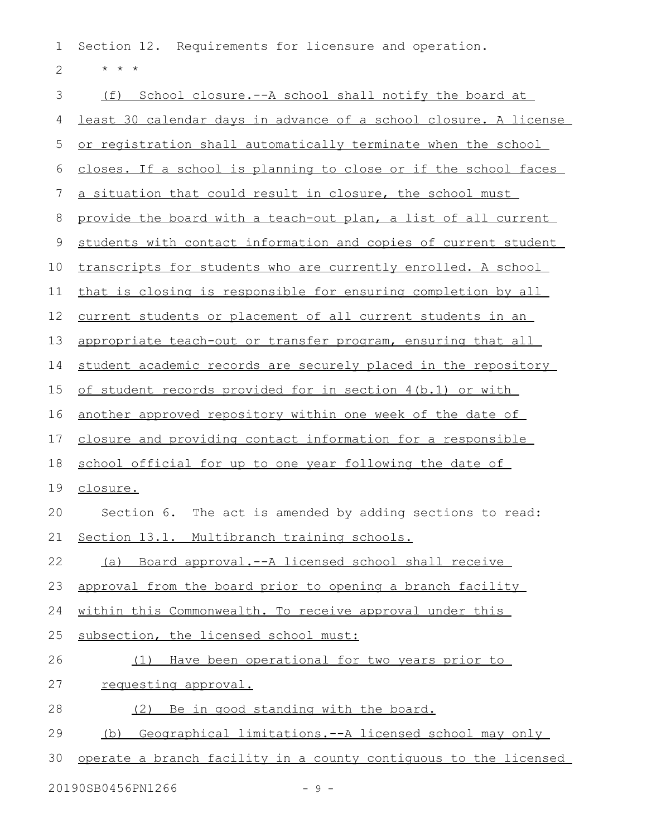Section 12. Requirements for licensure and operation. 1

\* \* \* 2

(f) School closure.--A school shall notify the board at least 30 calendar days in advance of a school closure. A license or registration shall automatically terminate when the school closes. If a school is planning to close or if the school faces a situation that could result in closure, the school must provide the board with a teach-out plan, a list of all current students with contact information and copies of current student transcripts for students who are currently enrolled. A school that is closing is responsible for ensuring completion by all current students or placement of all current students in an appropriate teach-out or transfer program, ensuring that all student academic records are securely placed in the repository of student records provided for in section 4(b.1) or with another approved repository within one week of the date of closure and providing contact information for a responsible school official for up to one year following the date of closure. Section 6. The act is amended by adding sections to read: Section 13.1. Multibranch training schools. (a) Board approval.--A licensed school shall receive approval from the board prior to opening a branch facility within this Commonwealth. To receive approval under this subsection, the licensed school must: (1) Have been operational for two years prior to requesting approval. (2) Be in good standing with the board. (b) Geographical limitations.--A licensed school may only operate a branch facility in a county contiguous to the licensed 3 4 5 6 7 8 9 10 11 12 13 14 15 16 17 18 19 20 21 22 23 24 25 26 27 28 29 30

 $20190$ SB0456PN1266 - 9 -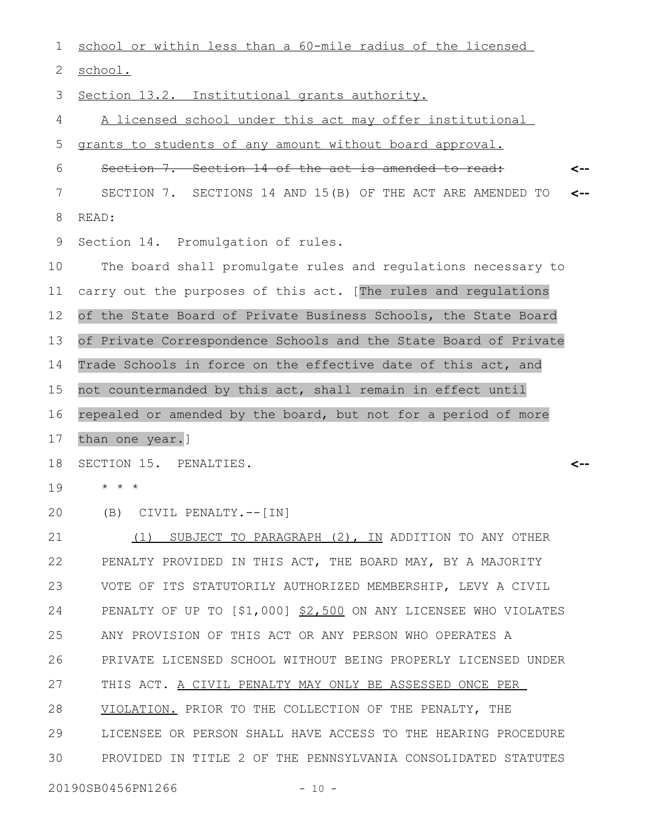school or within less than a 60-mile radius of the licensed school. Section 13.2. Institutional grants authority. A licensed school under this act may offer institutional grants to students of any amount without board approval. Section 7. Section 14 of the act is amended to read: SECTION 7. SECTIONS 14 AND 15(B) OF THE ACT ARE AMENDED TO READ: Section 14. Promulgation of rules. The board shall promulgate rules and regulations necessary to carry out the purposes of this act. [The rules and regulations of the State Board of Private Business Schools, the State Board of Private Correspondence Schools and the State Board of Private Trade Schools in force on the effective date of this act, and not countermanded by this act, shall remain in effect until repealed or amended by the board, but not for a period of more than one year.] SECTION 15. PENALTIES. \* \* \* (B) CIVIL PENALTY.--[IN] (1) SUBJECT TO PARAGRAPH (2), IN ADDITION TO ANY OTHER PENALTY PROVIDED IN THIS ACT, THE BOARD MAY, BY A MAJORITY VOTE OF ITS STATUTORILY AUTHORIZED MEMBERSHIP, LEVY A CIVIL PENALTY OF UP TO [\$1,000] \$2,500 ON ANY LICENSEE WHO VIOLATES ANY PROVISION OF THIS ACT OR ANY PERSON WHO OPERATES A PRIVATE LICENSED SCHOOL WITHOUT BEING PROPERLY LICENSED UNDER THIS ACT. A CIVIL PENALTY MAY ONLY BE ASSESSED ONCE PER VIOLATION. PRIOR TO THE COLLECTION OF THE PENALTY, THE LICENSEE OR PERSON SHALL HAVE ACCESS TO THE HEARING PROCEDURE PROVIDED IN TITLE 2 OF THE PENNSYLVANIA CONSOLIDATED STATUTES **<-- <-- <--** 1 2 3 4 5 6 7 8 9 10 11 12 13 14 15 16 17 18 19 20 21 22 23 24 25 26 27 28 29 30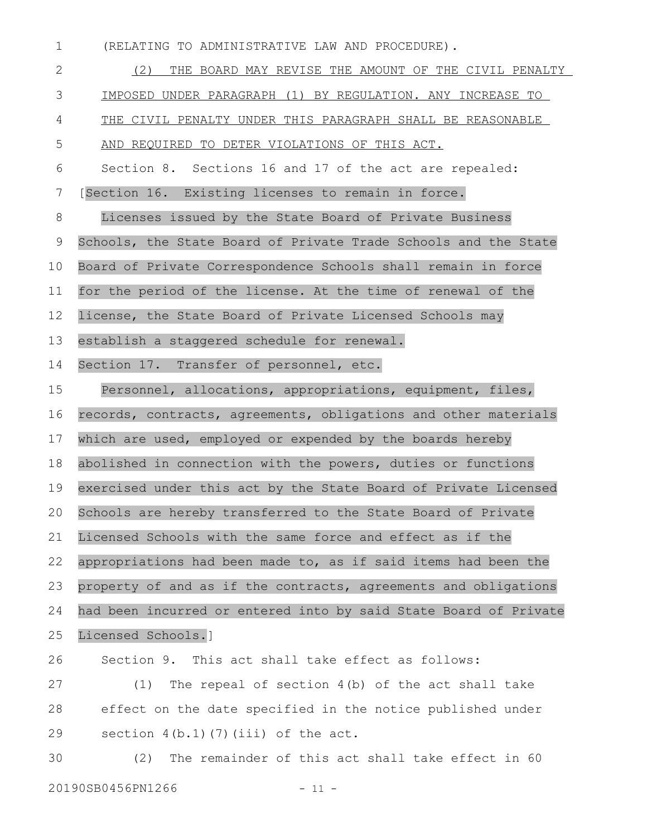(RELATING TO ADMINISTRATIVE LAW AND PROCEDURE). 1

(2) THE BOARD MAY REVISE THE AMOUNT OF THE CIVIL PENALTY IMPOSED UNDER PARAGRAPH (1) BY REGULATION. ANY INCREASE TO THE CIVIL PENALTY UNDER THIS PARAGRAPH SHALL BE REASONABLE AND REQUIRED TO DETER VIOLATIONS OF THIS ACT. Section 8. Sections 16 and 17 of the act are repealed: [Section 16. Existing licenses to remain in force. Licenses issued by the State Board of Private Business Schools, the State Board of Private Trade Schools and the State Board of Private Correspondence Schools shall remain in force for the period of the license. At the time of renewal of the license, the State Board of Private Licensed Schools may establish a staggered schedule for renewal. Section 17. Transfer of personnel, etc. Personnel, allocations, appropriations, equipment, files, records, contracts, agreements, obligations and other materials which are used, employed or expended by the boards hereby abolished in connection with the powers, duties or functions exercised under this act by the State Board of Private Licensed Schools are hereby transferred to the State Board of Private Licensed Schools with the same force and effect as if the appropriations had been made to, as if said items had been the property of and as if the contracts, agreements and obligations had been incurred or entered into by said State Board of Private Licensed Schools.] Section 9. This act shall take effect as follows: (1) The repeal of section 4(b) of the act shall take effect on the date specified in the notice published under section  $4(b.1)(7)(iii)$  of the act. (2) The remainder of this act shall take effect in 60 2 3 4 5 6 7 8 9 10 11 12 13 14 15 16 17 18 19 20 21 22 23 24 25 26 27 28 29 30

20190SB0456PN1266 - 11 -